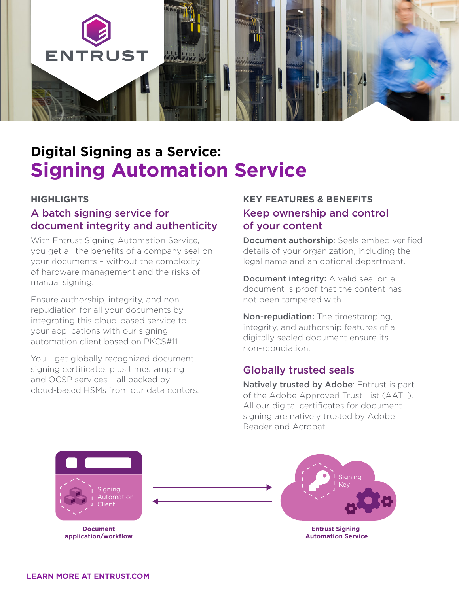

# **Digital Signing as a Service: Signing Automation Service**

#### **HIGHLIGHTS**

# A batch signing service for document integrity and authenticity

With Entrust Signing Automation Service, you get all the benefits of a company seal on your documents – without the complexity of hardware management and the risks of manual signing.

Ensure authorship, integrity, and nonrepudiation for all your documents by integrating this cloud-based service to your applications with our signing automation client based on PKCS#11.

You'll get globally recognized document signing certificates plus timestamping and OCSP services – all backed by cloud-based HSMs from our data centers.

## **KEY FEATURES & BENEFITS**  Keep ownership and control of your content

Document authorship: Seals embed verified details of your organization, including the legal name and an optional department.

Document integrity: A valid seal on a document is proof that the content has not been tampered with.

Non-repudiation: The timestamping, integrity, and authorship features of a digitally sealed document ensure its non-repudiation.

## Globally trusted seals

Natively trusted by Adobe: Entrust is part of the Adobe Approved Trust List (AATL). All our digital certificates for document signing are natively trusted by Adobe Reader and Acrobat.